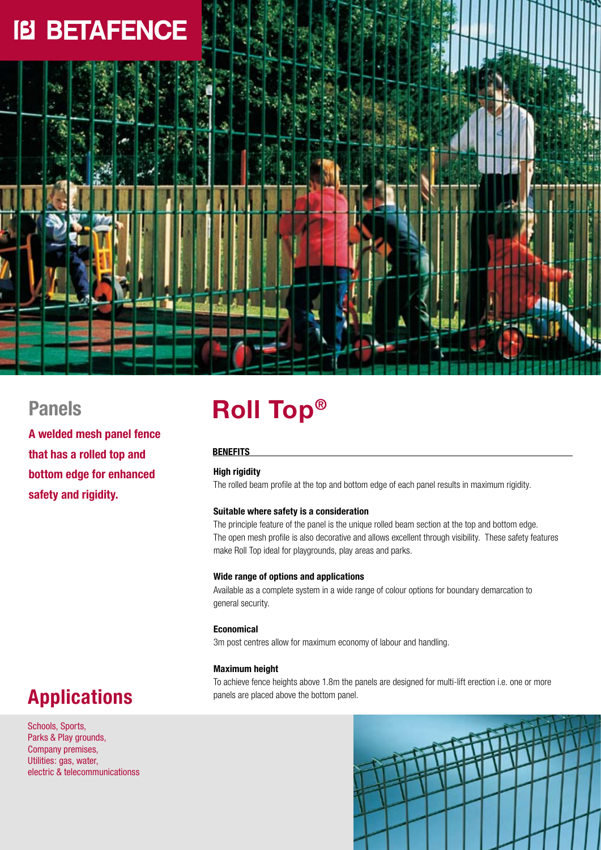

## **Panels**

**A welded mesh panel fence that has a rolled top and bottom edge for enhanced safety and rigidity.**

# **Roll Top®**

### **Benefits**

### **High rigidity**

The rolled beam profile at the top and bottom edge of each panel results in maximum rigidity.

### **Suitable where safety is a consideration**

The principle feature of the panel is the unique rolled beam section at the top and bottom edge. The open mesh profile is also decorative and allows excellent through visibility. These safety features make Roll Top ideal for playgrounds, play areas and parks.

### **Wide range of options and applications**

Available as a complete system in a wide range of colour options for boundary demarcation to general security.

### **Economical**

3m post centres allow for maximum economy of labour and handling.

### **Maximum height**

To achieve fence heights above 1.8m the panels are designed for multi-lift erection i.e. one or more panels are placed above the bottom panel.

# **Applications**

Schools, Sports, Parks & Play grounds, Company premises, Utilities: gas, water, electric & telecommunicationss